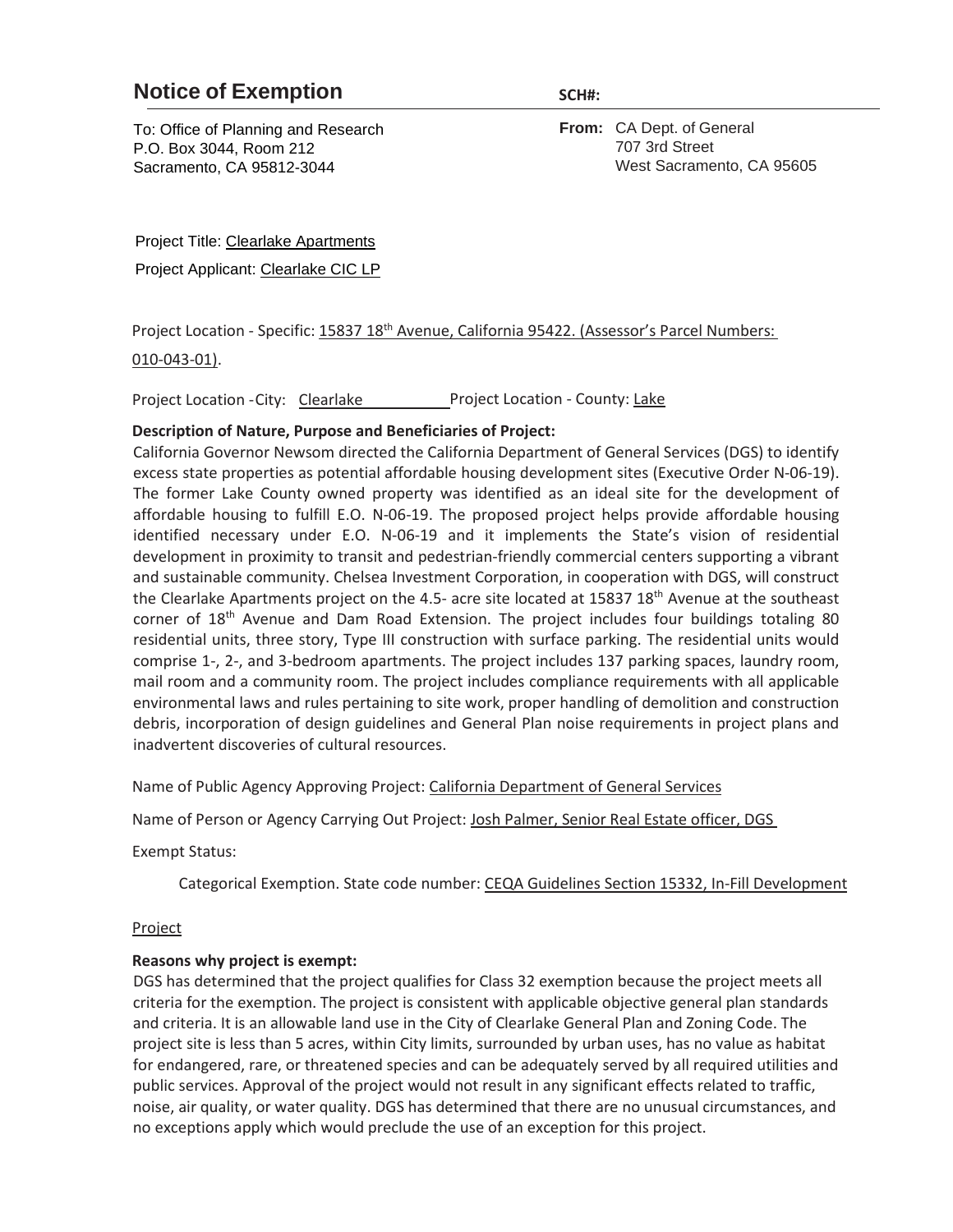## **Notice of Exemption** SCH#:

To: Office of Planning and Research P.O. Box 3044, Room 212 Sacramento, CA 95812-3044

**From:** CA Dept. of General 707 3rd Street West Sacramento, CA 95605

Project Title: Clearlake Apartments

Project Applicant: Clearlake CIC LP

Project Location - Specific: 15837 18th Avenue, California 95422. (Assessor's Parcel Numbers:

010-043-01).

Project Location - City: Clearlake Project Location - County: Lake

## **Description of Nature, Purpose and Beneficiaries of Project:**

California Governor Newsom directed the California Department of General Services (DGS) to identify excess state properties as potential affordable housing development sites (Executive Order N-06-19). The former Lake County owned property was identified as an ideal site for the development of affordable housing to fulfill E.O. N-06-19. The proposed project helps provide affordable housing identified necessary under E.O. N-06-19 and it implements the State's vision of residential development in proximity to transit and pedestrian-friendly commercial centers supporting a vibrant and sustainable community. Chelsea Investment Corporation, in cooperation with DGS, will construct the Clearlake Apartments project on the 4.5- acre site located at 15837 18<sup>th</sup> Avenue at the southeast corner of 18th Avenue and Dam Road Extension. The project includes four buildings totaling 80 residential units, three story, Type III construction with surface parking. The residential units would comprise 1-, 2-, and 3-bedroom apartments. The project includes 137 parking spaces, laundry room, mail room and a community room. The project includes compliance requirements with all applicable environmental laws and rules pertaining to site work, proper handling of demolition and construction debris, incorporation of design guidelines and General Plan noise requirements in project plans and inadvertent discoveries of cultural resources.

Name of Public Agency Approving Project: California Department of General Services

Name of Person or Agency Carrying Out Project: Josh Palmer, Senior Real Estate officer, DGS

Exempt Status:

Categorical Exemption. State code number: CEQA Guidelines Section 15332, In-Fill Development

## Project

## **Reasons why project is exempt:**

DGS has determined that the project qualifies for Class 32 exemption because the project meets all criteria for the exemption. The project is consistent with applicable objective general plan standards and criteria. It is an allowable land use in the City of Clearlake General Plan and Zoning Code. The project site is less than 5 acres, within City limits, surrounded by urban uses, has no value as habitat for endangered, rare, or threatened species and can be adequately served by all required utilities and public services. Approval of the project would not result in any significant effects related to traffic, noise, air quality, or water quality. DGS has determined that there are no unusual circumstances, and no exceptions apply which would preclude the use of an exception for this project.